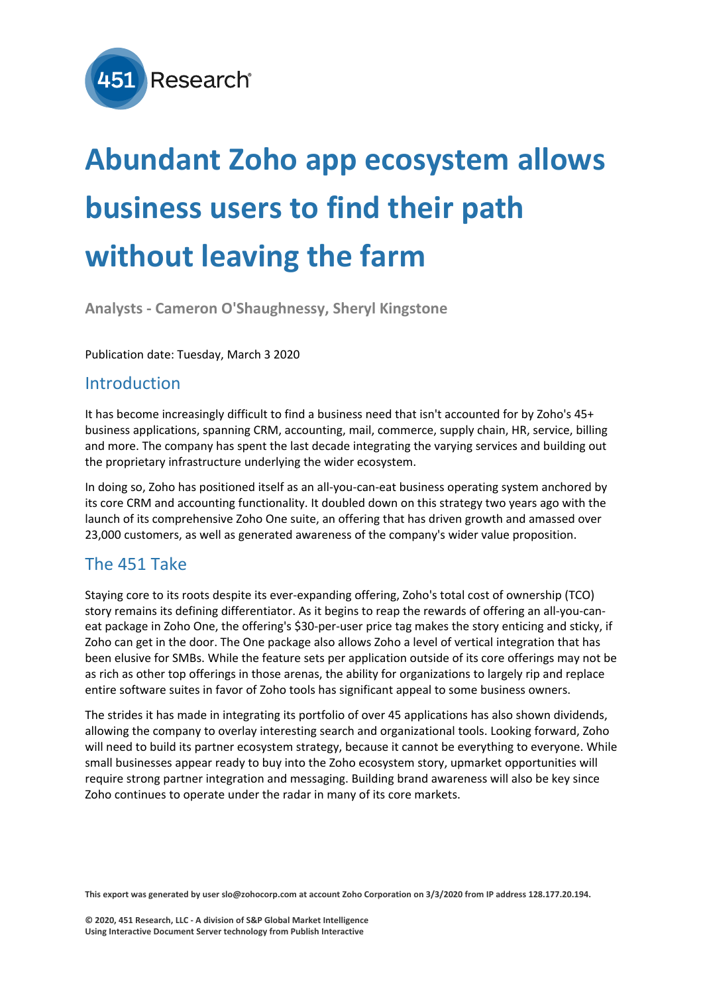

# **Abundant Zoho app ecosystem allows business users to find their path without leaving the farm**

**Analysts - Cameron O'Shaughnessy, Sheryl Kingstone**

#### Publication date: Tuesday, March 3 2020

#### Introduction

It has become increasingly difficult to find a business need that isn't accounted for by Zoho's 45+ business applications, spanning CRM, accounting, mail, commerce, supply chain, HR, service, billing and more. The company has spent the last decade integrating the varying services and building out the proprietary infrastructure underlying the wider ecosystem.

In doing so, Zoho has positioned itself as an all-you-can-eat business operating system anchored by its core CRM and accounting functionality. It doubled down on this strategy two years ago with the launch of its comprehensive Zoho One suite, an offering that has driven growth and amassed over 23,000 customers, as well as generated awareness of the company's wider value proposition.

### The 451 Take

Staying core to its roots despite its ever-expanding offering, Zoho's total cost of ownership (TCO) story remains its defining differentiator. As it begins to reap the rewards of offering an all-you-caneat package in Zoho One, the offering's \$30-per-user price tag makes the story enticing and sticky, if Zoho can get in the door. The One package also allows Zoho a level of vertical integration that has been elusive for SMBs. While the feature sets per application outside of its core offerings may not be as rich as other top offerings in those arenas, the ability for organizations to largely rip and replace entire software suites in favor of Zoho tools has significant appeal to some business owners.

The strides it has made in integrating its portfolio of over 45 applications has also shown dividends, allowing the company to overlay interesting search and organizational tools. Looking forward, Zoho will need to build its partner ecosystem strategy, because it cannot be everything to everyone. While small businesses appear ready to buy into the Zoho ecosystem story, upmarket opportunities will require strong partner integration and messaging. Building brand awareness will also be key since Zoho continues to operate under the radar in many of its core markets.

This export was generated by user slo@zohocorp.com at account Zoho Corporation on 3/3/2020 from IP address 128.177.20.194.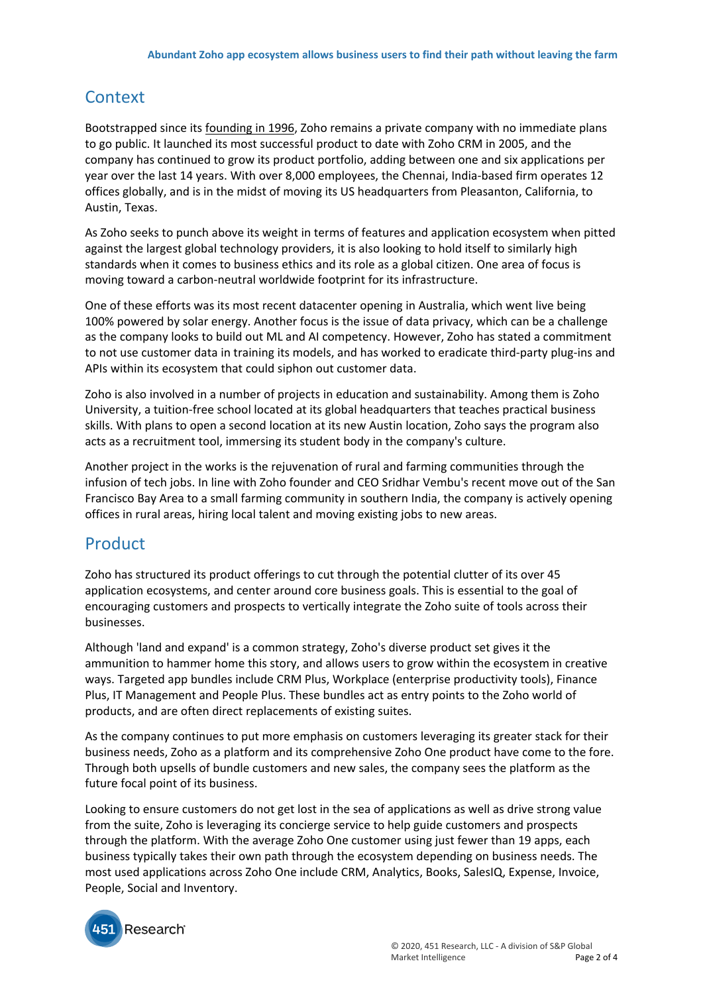## **Context**

Bootstrapped since its [founding](https://clients.451research.com/reports/96566) in 1996, Zoho remains a private company with no immediate plans to go public. It launched its most successful product to date with Zoho CRM in 2005, and the company has continued to grow its product portfolio, adding between one and six applications per year over the last 14 years. With over 8,000 employees, the Chennai, India-based firm operates 12 offices globally, and is in the midst of moving its US headquarters from Pleasanton, California, to Austin, Texas.

As Zoho seeks to punch above its weight in terms of features and application ecosystem when pitted against the largest global technology providers, it is also looking to hold itself to similarly high standards when it comes to business ethics and its role as a global citizen. One area of focus is moving toward a carbon-neutral worldwide footprint for its infrastructure.

One of these efforts was its most recent datacenter opening in Australia, which went live being 100% powered by solar energy. Another focus is the issue of data privacy, which can be a challenge as the company looks to build out ML and AI competency. However, Zoho has stated a commitment to not use customer data in training its models, and has worked to eradicate third-party plug-ins and APIs within its ecosystem that could siphon out customer data.

Zoho is also involved in a number of projects in education and sustainability. Among them is Zoho University, a tuition-free school located at its global headquarters that teaches practical business skills. With plans to open a second location at its new Austin location, Zoho says the program also acts as a recruitment tool, immersing its student body in the company's culture.

Another project in the works is the rejuvenation of rural and farming communities through the infusion of tech jobs. In line with Zoho founder and CEO Sridhar Vembu's recent move out of the San Francisco Bay Area to a small farming community in southern India, the company is actively opening offices in rural areas, hiring local talent and moving existing jobs to new areas.

## Product

Zoho has structured its product offerings to cut through the potential clutter of its over 45 application ecosystems, and center around core business goals. This is essential to the goal of encouraging customers and prospects to vertically integrate the Zoho suite of tools across their businesses.

Although 'land and expand' is a common strategy, Zoho's diverse product set gives it the ammunition to hammer home this story, and allows users to grow within the ecosystem in creative ways. Targeted app bundles include CRM Plus, Workplace (enterprise productivity tools), Finance Plus, IT Management and People Plus. These bundles act as entry points to the Zoho world of products, and are often direct replacements of existing suites.

As the company continues to put more emphasis on customers leveraging its greater stack for their business needs, Zoho as a platform and its comprehensive Zoho One product have come to the fore. Through both upsells of bundle customers and new sales, the company sees the platform as the future focal point of its business.

Looking to ensure customers do not get lost in the sea of applications as well as drive strong value from the suite, Zoho is leveraging its concierge service to help guide customers and prospects through the platform. With the average Zoho One customer using just fewer than 19 apps, each business typically takes their own path through the ecosystem depending on business needs. The most used applications across Zoho One include CRM, Analytics, Books, SalesIQ, Expense, Invoice, People, Social and Inventory.

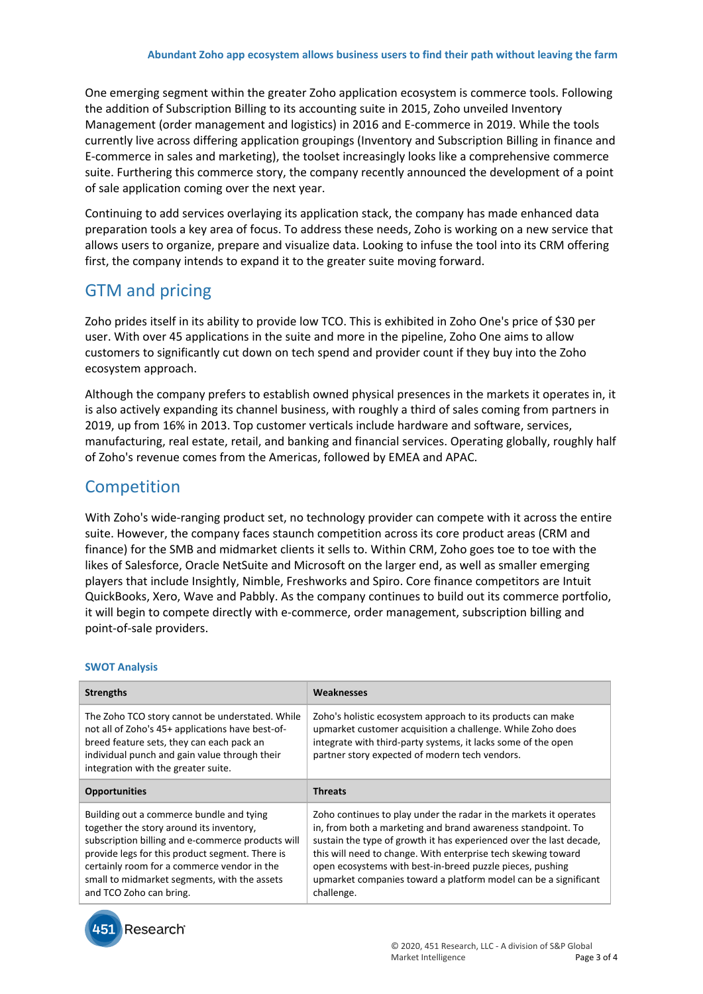One emerging segment within the greater Zoho application ecosystem is commerce tools. Following the addition of Subscription Billing to its accounting suite in 2015, Zoho unveiled Inventory Management (order management and logistics) in 2016 and E-commerce in 2019. While the tools currently live across differing application groupings (Inventory and Subscription Billing in finance and E-commerce in sales and marketing), the toolset increasingly looks like a comprehensive commerce suite. Furthering this commerce story, the company recently announced the development of a point of sale application coming over the next year.

Continuing to add services overlaying its application stack, the company has made enhanced data preparation tools a key area of focus. To address these needs, Zoho is working on a new service that allows users to organize, prepare and visualize data. Looking to infuse the tool into its CRM offering first, the company intends to expand it to the greater suite moving forward.

# GTM and pricing

Zoho prides itself in its ability to provide low TCO. This is exhibited in Zoho One's price of \$30 per user. With over 45 applications in the suite and more in the pipeline, Zoho One aims to allow customers to significantly cut down on tech spend and provider count if they buy into the Zoho ecosystem approach.

Although the company prefers to establish owned physical presences in the markets it operates in, it is also actively expanding its channel business, with roughly a third of sales coming from partners in 2019, up from 16% in 2013. Top customer verticals include hardware and software, services, manufacturing, real estate, retail, and banking and financial services. Operating globally, roughly half of Zoho's revenue comes from the Americas, followed by EMEA and APAC.

## **Competition**

With Zoho's wide-ranging product set, no technology provider can compete with it across the entire suite. However, the company faces staunch competition across its core product areas (CRM and finance) for the SMB and midmarket clients it sells to. Within CRM, Zoho goes toe to toe with the likes of Salesforce, Oracle NetSuite and Microsoft on the larger end, as well as smaller emerging players that include Insightly, Nimble, Freshworks and Spiro. Core finance competitors are Intuit QuickBooks, Xero, Wave and Pabbly. As the company continues to build out its commerce portfolio, it will begin to compete directly with e-commerce, order management, subscription billing and point-of-sale providers.

#### **SWOT Analysis**

| <b>Strengths</b>                                                                                                                                                                                                                                                                                                       | Weaknesses                                                                                                                                                                                                                                                                                                                                                                                                              |
|------------------------------------------------------------------------------------------------------------------------------------------------------------------------------------------------------------------------------------------------------------------------------------------------------------------------|-------------------------------------------------------------------------------------------------------------------------------------------------------------------------------------------------------------------------------------------------------------------------------------------------------------------------------------------------------------------------------------------------------------------------|
| The Zoho TCO story cannot be understated. While<br>not all of Zoho's 45+ applications have best-of-<br>breed feature sets, they can each pack an<br>individual punch and gain value through their<br>integration with the greater suite.                                                                               | Zoho's holistic ecosystem approach to its products can make<br>upmarket customer acquisition a challenge. While Zoho does<br>integrate with third-party systems, it lacks some of the open<br>partner story expected of modern tech vendors.                                                                                                                                                                            |
| <b>Opportunities</b>                                                                                                                                                                                                                                                                                                   | <b>Threats</b>                                                                                                                                                                                                                                                                                                                                                                                                          |
| Building out a commerce bundle and tying<br>together the story around its inventory,<br>subscription billing and e-commerce products will<br>provide legs for this product segment. There is<br>certainly room for a commerce vendor in the<br>small to midmarket segments, with the assets<br>and TCO Zoho can bring. | Zoho continues to play under the radar in the markets it operates<br>in, from both a marketing and brand awareness standpoint. To<br>sustain the type of growth it has experienced over the last decade,<br>this will need to change. With enterprise tech skewing toward<br>open ecosystems with best-in-breed puzzle pieces, pushing<br>upmarket companies toward a platform model can be a significant<br>challenge. |